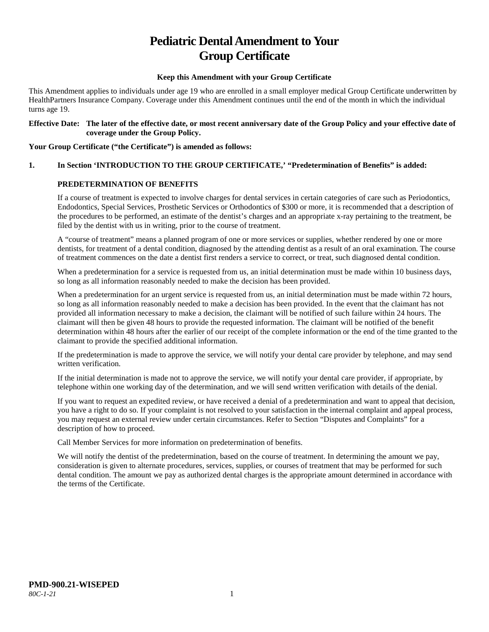# **Pediatric Dental Amendment to Your Group Certificate**

## **Keep this Amendment with your Group Certificate**

This Amendment applies to individuals under age 19 who are enrolled in a small employer medical Group Certificate underwritten by HealthPartners Insurance Company. Coverage under this Amendment continues until the end of the month in which the individual turns age 19.

#### **Effective Date: The later of the effective date, or most recent anniversary date of the Group Policy and your effective date of coverage under the Group Policy.**

#### **Your Group Certificate ("the Certificate") is amended as follows:**

# **1. In Section 'INTRODUCTION TO THE GROUP CERTIFICATE,' "Predetermination of Benefits" is added:**

# **PREDETERMINATION OF BENEFITS**

If a course of treatment is expected to involve charges for dental services in certain categories of care such as Periodontics, Endodontics, Special Services, Prosthetic Services or Orthodontics of \$300 or more, it is recommended that a description of the procedures to be performed, an estimate of the dentist's charges and an appropriate x-ray pertaining to the treatment, be filed by the dentist with us in writing, prior to the course of treatment.

A "course of treatment" means a planned program of one or more services or supplies, whether rendered by one or more dentists, for treatment of a dental condition, diagnosed by the attending dentist as a result of an oral examination. The course of treatment commences on the date a dentist first renders a service to correct, or treat, such diagnosed dental condition.

When a predetermination for a service is requested from us, an initial determination must be made within 10 business days, so long as all information reasonably needed to make the decision has been provided.

When a predetermination for an urgent service is requested from us, an initial determination must be made within 72 hours, so long as all information reasonably needed to make a decision has been provided. In the event that the claimant has not provided all information necessary to make a decision, the claimant will be notified of such failure within 24 hours. The claimant will then be given 48 hours to provide the requested information. The claimant will be notified of the benefit determination within 48 hours after the earlier of our receipt of the complete information or the end of the time granted to the claimant to provide the specified additional information.

If the predetermination is made to approve the service, we will notify your dental care provider by telephone, and may send written verification.

If the initial determination is made not to approve the service, we will notify your dental care provider, if appropriate, by telephone within one working day of the determination, and we will send written verification with details of the denial.

If you want to request an expedited review, or have received a denial of a predetermination and want to appeal that decision, you have a right to do so. If your complaint is not resolved to your satisfaction in the internal complaint and appeal process, you may request an external review under certain circumstances. Refer to Section "Disputes and Complaints" for a description of how to proceed.

Call Member Services for more information on predetermination of benefits.

We will notify the dentist of the predetermination, based on the course of treatment. In determining the amount we pay, consideration is given to alternate procedures, services, supplies, or courses of treatment that may be performed for such dental condition. The amount we pay as authorized dental charges is the appropriate amount determined in accordance with the terms of the Certificate.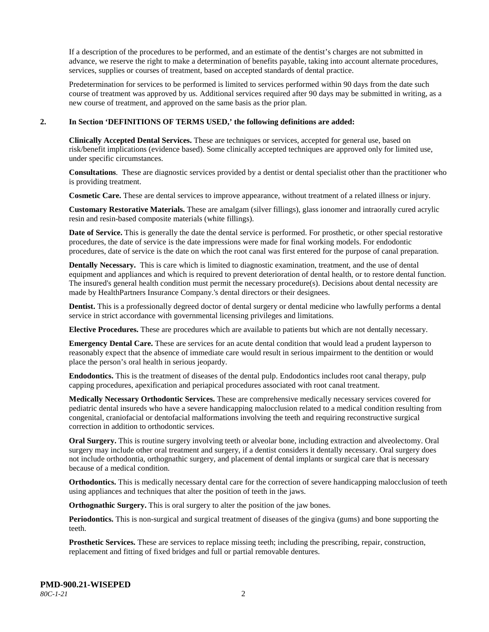If a description of the procedures to be performed, and an estimate of the dentist's charges are not submitted in advance, we reserve the right to make a determination of benefits payable, taking into account alternate procedures, services, supplies or courses of treatment, based on accepted standards of dental practice.

Predetermination for services to be performed is limited to services performed within 90 days from the date such course of treatment was approved by us. Additional services required after 90 days may be submitted in writing, as a new course of treatment, and approved on the same basis as the prior plan.

#### **2. In Section 'DEFINITIONS OF TERMS USED,' the following definitions are added:**

**Clinically Accepted Dental Services.** These are techniques or services, accepted for general use, based on risk/benefit implications (evidence based). Some clinically accepted techniques are approved only for limited use, under specific circumstances.

**Consultations**. These are diagnostic services provided by a dentist or dental specialist other than the practitioner who is providing treatment.

**Cosmetic Care.** These are dental services to improve appearance, without treatment of a related illness or injury.

**Customary Restorative Materials.** These are amalgam (silver fillings), glass ionomer and intraorally cured acrylic resin and resin-based composite materials (white fillings).

**Date of Service.** This is generally the date the dental service is performed. For prosthetic, or other special restorative procedures, the date of service is the date impressions were made for final working models. For endodontic procedures, date of service is the date on which the root canal was first entered for the purpose of canal preparation.

**Dentally Necessary.** This is care which is limited to diagnostic examination, treatment, and the use of dental equipment and appliances and which is required to prevent deterioration of dental health, or to restore dental function. The insured's general health condition must permit the necessary procedure(s). Decisions about dental necessity are made by HealthPartners Insurance Company.'s dental directors or their designees.

**Dentist.** This is a professionally degreed doctor of dental surgery or dental medicine who lawfully performs a dental service in strict accordance with governmental licensing privileges and limitations.

**Elective Procedures.** These are procedures which are available to patients but which are not dentally necessary.

**Emergency Dental Care.** These are services for an acute dental condition that would lead a prudent layperson to reasonably expect that the absence of immediate care would result in serious impairment to the dentition or would place the person's oral health in serious jeopardy.

**Endodontics.** This is the treatment of diseases of the dental pulp. Endodontics includes root canal therapy, pulp capping procedures, apexification and periapical procedures associated with root canal treatment.

**Medically Necessary Orthodontic Services.** These are comprehensive medically necessary services covered for pediatric dental insureds who have a severe handicapping malocclusion related to a medical condition resulting from congenital, craniofacial or dentofacial malformations involving the teeth and requiring reconstructive surgical correction in addition to orthodontic services.

**Oral Surgery.** This is routine surgery involving teeth or alveolar bone, including extraction and alveolectomy. Oral surgery may include other oral treatment and surgery, if a dentist considers it dentally necessary. Oral surgery does not include orthodontia, orthognathic surgery, and placement of dental implants or surgical care that is necessary because of a medical condition.

**Orthodontics.** This is medically necessary dental care for the correction of severe handicapping malocclusion of teeth using appliances and techniques that alter the position of teeth in the jaws.

**Orthognathic Surgery.** This is oral surgery to alter the position of the jaw bones.

**Periodontics.** This is non-surgical and surgical treatment of diseases of the gingiva (gums) and bone supporting the teeth.

**Prosthetic Services.** These are services to replace missing teeth; including the prescribing, repair, construction, replacement and fitting of fixed bridges and full or partial removable dentures.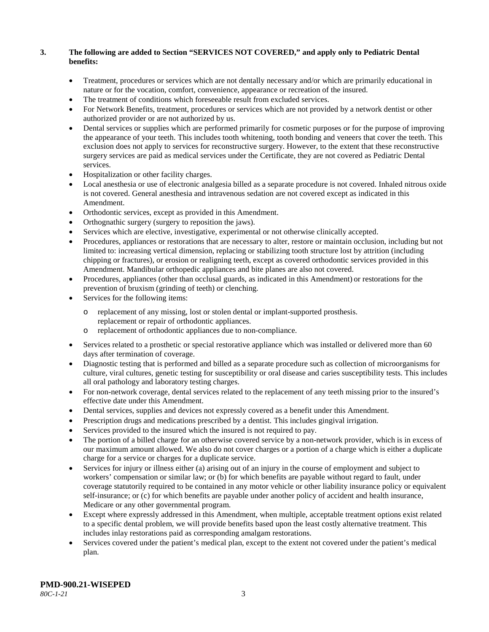# **3. The following are added to Section "SERVICES NOT COVERED," and apply only to Pediatric Dental benefits:**

- Treatment, procedures or services which are not dentally necessary and/or which are primarily educational in nature or for the vocation, comfort, convenience, appearance or recreation of the insured.
- The treatment of conditions which foreseeable result from excluded services.
- For Network Benefits, treatment, procedures or services which are not provided by a network dentist or other authorized provider or are not authorized by us.
- Dental services or supplies which are performed primarily for cosmetic purposes or for the purpose of improving the appearance of your teeth. This includes tooth whitening, tooth bonding and veneers that cover the teeth. This exclusion does not apply to services for reconstructive surgery. However, to the extent that these reconstructive surgery services are paid as medical services under the Certificate, they are not covered as Pediatric Dental services.
- Hospitalization or other facility charges.
- Local anesthesia or use of electronic analgesia billed as a separate procedure is not covered. Inhaled nitrous oxide is not covered. General anesthesia and intravenous sedation are not covered except as indicated in this Amendment.
- Orthodontic services, except as provided in this Amendment.
- Orthognathic surgery (surgery to reposition the jaws).
- Services which are elective, investigative, experimental or not otherwise clinically accepted.
- Procedures, appliances or restorations that are necessary to alter, restore or maintain occlusion, including but not limited to: increasing vertical dimension, replacing or stabilizing tooth structure lost by attrition (including chipping or fractures), or erosion or realigning teeth, except as covered orthodontic services provided in this Amendment. Mandibular orthopedic appliances and bite planes are also not covered.
- Procedures, appliances (other than occlusal guards, as indicated in this Amendment) or restorations for the prevention of bruxism (grinding of teeth) or clenching.
- Services for the following items:
	- o replacement of any missing, lost or stolen dental or implant-supported prosthesis. replacement or repair of orthodontic appliances.
	- o replacement of orthodontic appliances due to non-compliance.
- Services related to a prosthetic or special restorative appliance which was installed or delivered more than 60 days after termination of coverage.
- Diagnostic testing that is performed and billed as a separate procedure such as collection of microorganisms for culture, viral cultures, genetic testing for susceptibility or oral disease and caries susceptibility tests. This includes all oral pathology and laboratory testing charges.
- For non-network coverage, dental services related to the replacement of any teeth missing prior to the insured's effective date under this Amendment.
- Dental services, supplies and devices not expressly covered as a benefit under this Amendment.
- Prescription drugs and medications prescribed by a dentist. This includes gingival irrigation.
- Services provided to the insured which the insured is not required to pay.
- The portion of a billed charge for an otherwise covered service by a non-network provider, which is in excess of our maximum amount allowed. We also do not cover charges or a portion of a charge which is either a duplicate charge for a service or charges for a duplicate service.
- Services for injury or illness either (a) arising out of an injury in the course of employment and subject to workers' compensation or similar law; or (b) for which benefits are payable without regard to fault, under coverage statutorily required to be contained in any motor vehicle or other liability insurance policy or equivalent self-insurance; or (c) for which benefits are payable under another policy of accident and health insurance, Medicare or any other governmental program.
- Except where expressly addressed in this Amendment, when multiple, acceptable treatment options exist related to a specific dental problem, we will provide benefits based upon the least costly alternative treatment. This includes inlay restorations paid as corresponding amalgam restorations.
- Services covered under the patient's medical plan, except to the extent not covered under the patient's medical plan.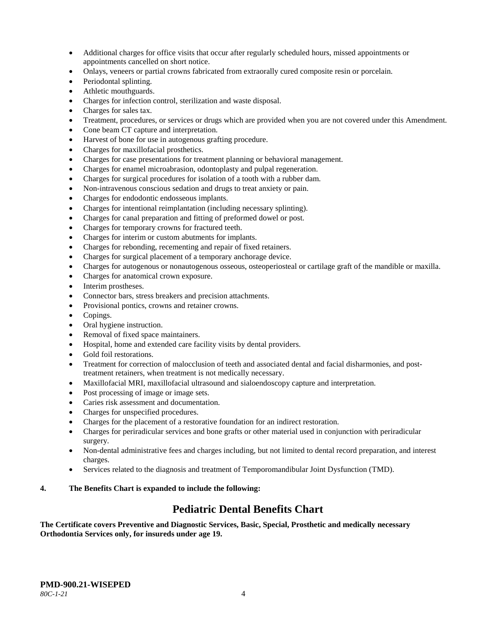- Additional charges for office visits that occur after regularly scheduled hours, missed appointments or appointments cancelled on short notice.
- Onlays, veneers or partial crowns fabricated from extraorally cured composite resin or porcelain.
- Periodontal splinting.
- Athletic mouthguards.
- Charges for infection control, sterilization and waste disposal.
- Charges for sales tax.
- Treatment, procedures, or services or drugs which are provided when you are not covered under this Amendment.
- Cone beam CT capture and interpretation.
- Harvest of bone for use in autogenous grafting procedure.
- Charges for maxillofacial prosthetics.
- Charges for case presentations for treatment planning or behavioral management.
- Charges for enamel microabrasion, odontoplasty and pulpal regeneration.
- Charges for surgical procedures for isolation of a tooth with a rubber dam.
- Non-intravenous conscious sedation and drugs to treat anxiety or pain.
- Charges for endodontic endosseous implants.
- Charges for intentional reimplantation (including necessary splinting).
- Charges for canal preparation and fitting of preformed dowel or post.
- Charges for temporary crowns for fractured teeth.
- Charges for interim or custom abutments for implants.
- Charges for rebonding, recementing and repair of fixed retainers.
- Charges for surgical placement of a temporary anchorage device.
- Charges for autogenous or nonautogenous osseous, osteoperiosteal or cartilage graft of the mandible or maxilla.
- Charges for anatomical crown exposure.
- Interim prostheses.
- Connector bars, stress breakers and precision attachments.
- Provisional pontics, crowns and retainer crowns.
- Copings.
- Oral hygiene instruction.
- Removal of fixed space maintainers.
- Hospital, home and extended care facility visits by dental providers.
- Gold foil restorations.
- Treatment for correction of malocclusion of teeth and associated dental and facial disharmonies, and posttreatment retainers, when treatment is not medically necessary.
- Maxillofacial MRI, maxillofacial ultrasound and sialoendoscopy capture and interpretation.
- Post processing of image or image sets.
- Caries risk assessment and documentation.
- Charges for unspecified procedures.
- Charges for the placement of a restorative foundation for an indirect restoration.
- Charges for periradicular services and bone grafts or other material used in conjunction with periradicular surgery.
- Non-dental administrative fees and charges including, but not limited to dental record preparation, and interest charges.
- Services related to the diagnosis and treatment of Temporomandibular Joint Dysfunction (TMD).

# **4. The Benefits Chart is expanded to include the following:**

# **Pediatric Dental Benefits Chart**

**The Certificate covers Preventive and Diagnostic Services, Basic, Special, Prosthetic and medically necessary Orthodontia Services only, for insureds under age 19.**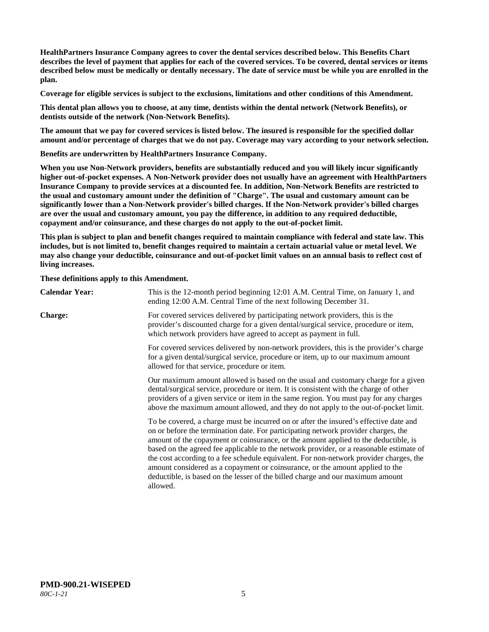**HealthPartners Insurance Company agrees to cover the dental services described below. This Benefits Chart describes the level of payment that applies for each of the covered services. To be covered, dental services or items described below must be medically or dentally necessary. The date of service must be while you are enrolled in the plan.**

**Coverage for eligible services is subject to the exclusions, limitations and other conditions of this Amendment.**

**This dental plan allows you to choose, at any time, dentists within the dental network (Network Benefits), or dentists outside of the network (Non-Network Benefits).**

**The amount that we pay for covered services is listed below. The insured is responsible for the specified dollar amount and/or percentage of charges that we do not pay. Coverage may vary according to your network selection.**

**Benefits are underwritten by HealthPartners Insurance Company.**

**When you use Non-Network providers, benefits are substantially reduced and you will likely incur significantly higher out-of-pocket expenses. A Non-Network provider does not usually have an agreement with HealthPartners Insurance Company to provide services at a discounted fee. In addition, Non-Network Benefits are restricted to the usual and customary amount under the definition of "Charge". The usual and customary amount can be significantly lower than a Non-Network provider's billed charges. If the Non-Network provider's billed charges are over the usual and customary amount, you pay the difference, in addition to any required deductible, copayment and/or coinsurance, and these charges do not apply to the out-of-pocket limit.**

**This plan is subject to plan and benefit changes required to maintain compliance with federal and state law. This includes, but is not limited to, benefit changes required to maintain a certain actuarial value or metal level. We may also change your deductible, coinsurance and out-of-pocket limit values on an annual basis to reflect cost of living increases.**

**These definitions apply to this Amendment.**

| <b>Calendar Year:</b> | This is the 12-month period beginning 12:01 A.M. Central Time, on January 1, and<br>ending 12:00 A.M. Central Time of the next following December 31.                                                                                                                                                                                                                                                                                                                                                                                                                                                                                  |  |
|-----------------------|----------------------------------------------------------------------------------------------------------------------------------------------------------------------------------------------------------------------------------------------------------------------------------------------------------------------------------------------------------------------------------------------------------------------------------------------------------------------------------------------------------------------------------------------------------------------------------------------------------------------------------------|--|
| <b>Charge:</b>        | For covered services delivered by participating network providers, this is the<br>provider's discounted charge for a given dental/surgical service, procedure or item,<br>which network providers have agreed to accept as payment in full.                                                                                                                                                                                                                                                                                                                                                                                            |  |
|                       | For covered services delivered by non-network providers, this is the provider's charge<br>for a given dental/surgical service, procedure or item, up to our maximum amount<br>allowed for that service, procedure or item.                                                                                                                                                                                                                                                                                                                                                                                                             |  |
|                       | Our maximum amount allowed is based on the usual and customary charge for a given<br>dental/surgical service, procedure or item. It is consistent with the charge of other<br>providers of a given service or item in the same region. You must pay for any charges<br>above the maximum amount allowed, and they do not apply to the out-of-pocket limit.                                                                                                                                                                                                                                                                             |  |
|                       | To be covered, a charge must be incurred on or after the insured's effective date and<br>on or before the termination date. For participating network provider charges, the<br>amount of the copayment or coinsurance, or the amount applied to the deductible, is<br>based on the agreed fee applicable to the network provider, or a reasonable estimate of<br>the cost according to a fee schedule equivalent. For non-network provider charges, the<br>amount considered as a copayment or coinsurance, or the amount applied to the<br>deductible, is based on the lesser of the billed charge and our maximum amount<br>allowed. |  |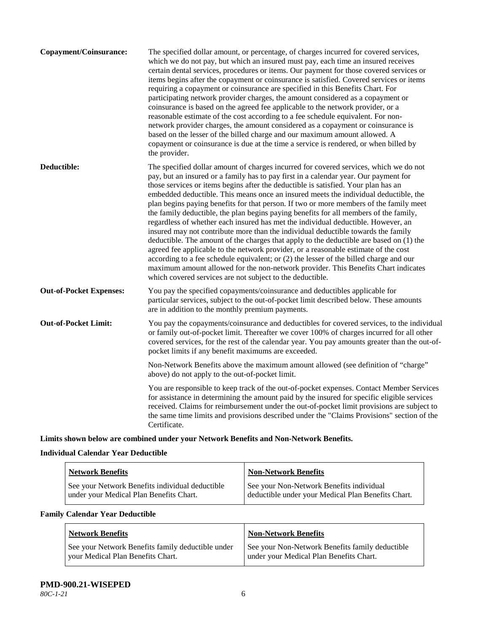| Copayment/Coinsurance:         | The specified dollar amount, or percentage, of charges incurred for covered services,<br>which we do not pay, but which an insured must pay, each time an insured receives<br>certain dental services, procedures or items. Our payment for those covered services or<br>items begins after the copayment or coinsurance is satisfied. Covered services or items<br>requiring a copayment or coinsurance are specified in this Benefits Chart. For<br>participating network provider charges, the amount considered as a copayment or<br>coinsurance is based on the agreed fee applicable to the network provider, or a<br>reasonable estimate of the cost according to a fee schedule equivalent. For non-<br>network provider charges, the amount considered as a copayment or coinsurance is<br>based on the lesser of the billed charge and our maximum amount allowed. A<br>copayment or coinsurance is due at the time a service is rendered, or when billed by<br>the provider.                                                                                                                                                                 |
|--------------------------------|---------------------------------------------------------------------------------------------------------------------------------------------------------------------------------------------------------------------------------------------------------------------------------------------------------------------------------------------------------------------------------------------------------------------------------------------------------------------------------------------------------------------------------------------------------------------------------------------------------------------------------------------------------------------------------------------------------------------------------------------------------------------------------------------------------------------------------------------------------------------------------------------------------------------------------------------------------------------------------------------------------------------------------------------------------------------------------------------------------------------------------------------------------|
| Deductible:                    | The specified dollar amount of charges incurred for covered services, which we do not<br>pay, but an insured or a family has to pay first in a calendar year. Our payment for<br>those services or items begins after the deductible is satisfied. Your plan has an<br>embedded deductible. This means once an insured meets the individual deductible, the<br>plan begins paying benefits for that person. If two or more members of the family meet<br>the family deductible, the plan begins paying benefits for all members of the family,<br>regardless of whether each insured has met the individual deductible. However, an<br>insured may not contribute more than the individual deductible towards the family<br>deductible. The amount of the charges that apply to the deductible are based on (1) the<br>agreed fee applicable to the network provider, or a reasonable estimate of the cost<br>according to a fee schedule equivalent; or (2) the lesser of the billed charge and our<br>maximum amount allowed for the non-network provider. This Benefits Chart indicates<br>which covered services are not subject to the deductible. |
| <b>Out-of-Pocket Expenses:</b> | You pay the specified copayments/coinsurance and deductibles applicable for<br>particular services, subject to the out-of-pocket limit described below. These amounts<br>are in addition to the monthly premium payments.                                                                                                                                                                                                                                                                                                                                                                                                                                                                                                                                                                                                                                                                                                                                                                                                                                                                                                                               |
| <b>Out-of-Pocket Limit:</b>    | You pay the copayments/coinsurance and deductibles for covered services, to the individual<br>or family out-of-pocket limit. Thereafter we cover 100% of charges incurred for all other<br>covered services, for the rest of the calendar year. You pay amounts greater than the out-of-<br>pocket limits if any benefit maximums are exceeded.                                                                                                                                                                                                                                                                                                                                                                                                                                                                                                                                                                                                                                                                                                                                                                                                         |
|                                | Non-Network Benefits above the maximum amount allowed (see definition of "charge"<br>above) do not apply to the out-of-pocket limit.                                                                                                                                                                                                                                                                                                                                                                                                                                                                                                                                                                                                                                                                                                                                                                                                                                                                                                                                                                                                                    |
|                                | You are responsible to keep track of the out-of-pocket expenses. Contact Member Services<br>for assistance in determining the amount paid by the insured for specific eligible services<br>received. Claims for reimbursement under the out-of-pocket limit provisions are subject to<br>the same time limits and provisions described under the "Claims Provisions" section of the<br>Certificate.                                                                                                                                                                                                                                                                                                                                                                                                                                                                                                                                                                                                                                                                                                                                                     |

**Limits shown below are combined under your Network Benefits and Non-Network Benefits.**

# **Individual Calendar Year Deductible**

| <b>Network Benefits</b>                         | <b>Non-Network Benefits</b>                        |
|-------------------------------------------------|----------------------------------------------------|
| See your Network Benefits individual deductible | See your Non-Network Benefits individual           |
| under your Medical Plan Benefits Chart.         | deductible under your Medical Plan Benefits Chart. |

# **Family Calendar Year Deductible**

| <b>Network Benefits</b>                           | <b>Non-Network Benefits</b>                     |
|---------------------------------------------------|-------------------------------------------------|
| See your Network Benefits family deductible under | See your Non-Network Benefits family deductible |
| vour Medical Plan Benefits Chart.                 | under your Medical Plan Benefits Chart.         |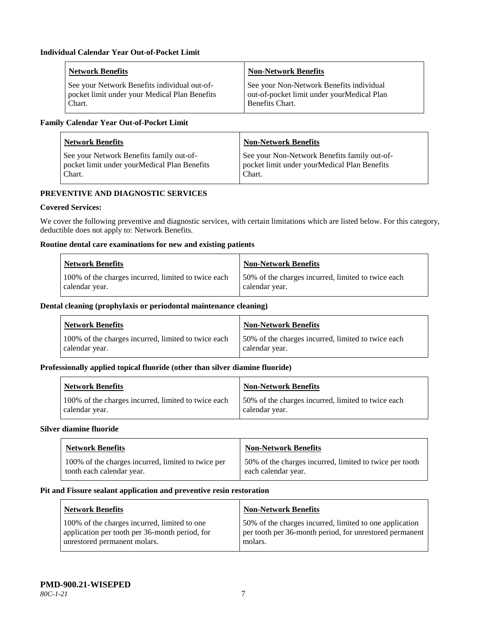| <b>Network Benefits</b>                       | <b>Non-Network Benefits</b>                |
|-----------------------------------------------|--------------------------------------------|
| See your Network Benefits individual out-of-  | See your Non-Network Benefits individual   |
| pocket limit under your Medical Plan Benefits | out-of-pocket limit under yourMedical Plan |
| Chart.                                        | <b>Benefits Chart.</b>                     |

# **Family Calendar Year Out-of-Pocket Limit**

| <b>Network Benefits</b>                      | Non-Network Benefits                         |
|----------------------------------------------|----------------------------------------------|
| See your Network Benefits family out-of-     | See your Non-Network Benefits family out-of- |
| pocket limit under yourMedical Plan Benefits | pocket limit under yourMedical Plan Benefits |
| Chart.                                       | Chart.                                       |

# **PREVENTIVE AND DIAGNOSTIC SERVICES**

# **Covered Services:**

We cover the following preventive and diagnostic services, with certain limitations which are listed below. For this category, deductible does not apply to: Network Benefits.

# **Routine dental care examinations for new and existing patients**

| <b>Network Benefits</b>                             | Non-Network Benefits                                |
|-----------------------------------------------------|-----------------------------------------------------|
| 100% of the charges incurred, limited to twice each | 150% of the charges incurred, limited to twice each |
| calendar year.                                      | calendar year.                                      |

#### **Dental cleaning (prophylaxis or periodontal maintenance cleaning)**

| <b>Network Benefits</b>                             | <b>Non-Network Benefits</b>                        |
|-----------------------------------------------------|----------------------------------------------------|
| 100% of the charges incurred, limited to twice each | 50% of the charges incurred, limited to twice each |
| calendar year.                                      | calendar year.                                     |

#### **Professionally applied topical fluoride (other than silver diamine fluoride)**

| <b>Network Benefits</b>                             | <b>Non-Network Benefits</b>                         |
|-----------------------------------------------------|-----------------------------------------------------|
| 100% of the charges incurred, limited to twice each | 150% of the charges incurred, limited to twice each |
| calendar year.                                      | calendar year.                                      |

#### **Silver diamine fluoride**

| <b>Network Benefits</b>                            | <b>Non-Network Benefits</b>                             |
|----------------------------------------------------|---------------------------------------------------------|
| 100% of the charges incurred, limited to twice per | 50% of the charges incurred, limited to twice per tooth |
| tooth each calendar year.                          | each calendar year.                                     |

#### **Pit and Fissure sealant application and preventive resin restoration**

| Network Benefits                               | <b>Non-Network Benefits</b>                             |
|------------------------------------------------|---------------------------------------------------------|
| 100% of the charges incurred, limited to one   | 50% of the charges incurred, limited to one application |
| application per tooth per 36-month period, for | per tooth per 36-month period, for unrestored permanent |
| unrestored permanent molars.                   | molars.                                                 |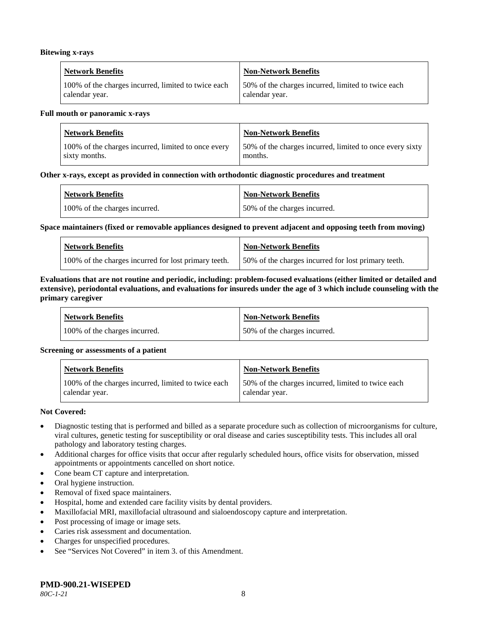#### **Bitewing x-rays**

| <b>Network Benefits</b>                             | Non-Network Benefits                               |
|-----------------------------------------------------|----------------------------------------------------|
| 100% of the charges incurred, limited to twice each | 50% of the charges incurred, limited to twice each |
| calendar year.                                      | calendar year.                                     |

#### **Full mouth or panoramic x-rays**

| <b>Network Benefits</b>                             | <b>Non-Network Benefits</b>                              |
|-----------------------------------------------------|----------------------------------------------------------|
| 100% of the charges incurred, limited to once every | 50% of the charges incurred, limited to once every sixty |
| sixty months.                                       | months.                                                  |

#### **Other x-rays, except as provided in connection with orthodontic diagnostic procedures and treatment**

| <b>Network Benefits</b>       | <b>Non-Network Benefits</b>  |
|-------------------------------|------------------------------|
| 100% of the charges incurred. | 50% of the charges incurred. |

#### **Space maintainers (fixed or removable appliances designed to prevent adjacent and opposing teeth from moving)**

| <b>Network Benefits</b>                              | Non-Network Benefits                                |
|------------------------------------------------------|-----------------------------------------------------|
| 100% of the charges incurred for lost primary teeth. | 50% of the charges incurred for lost primary teeth. |

#### **Evaluations that are not routine and periodic, including: problem-focused evaluations (either limited or detailed and extensive), periodontal evaluations, and evaluations for insureds under the age of 3 which include counseling with the primary caregiver**

| <b>Network Benefits</b>       | <b>Non-Network Benefits</b>  |
|-------------------------------|------------------------------|
| 100% of the charges incurred. | 50% of the charges incurred. |

#### **Screening or assessments of a patient**

| <b>Network Benefits</b>                                               | Non-Network Benefits                                                  |
|-----------------------------------------------------------------------|-----------------------------------------------------------------------|
| 100% of the charges incurred, limited to twice each<br>calendar year. | 150% of the charges incurred, limited to twice each<br>calendar year. |

#### **Not Covered:**

- Diagnostic testing that is performed and billed as a separate procedure such as collection of microorganisms for culture, viral cultures, genetic testing for susceptibility or oral disease and caries susceptibility tests. This includes all oral pathology and laboratory testing charges.
- Additional charges for office visits that occur after regularly scheduled hours, office visits for observation, missed appointments or appointments cancelled on short notice.
- Cone beam CT capture and interpretation.
- Oral hygiene instruction.
- Removal of fixed space maintainers.
- Hospital, home and extended care facility visits by dental providers.
- Maxillofacial MRI, maxillofacial ultrasound and sialoendoscopy capture and interpretation.
- Post processing of image or image sets.
- Caries risk assessment and documentation.
- Charges for unspecified procedures.
- See "Services Not Covered" in item 3. of this Amendment.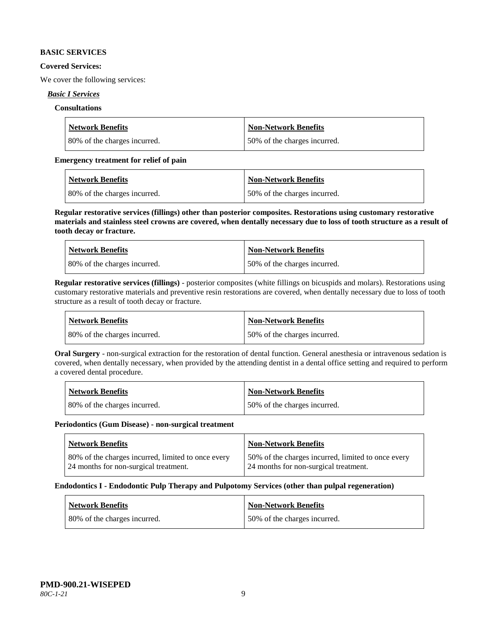#### **BASIC SERVICES**

#### **Covered Services:**

We cover the following services:

# *Basic I Services*

## **Consultations**

| <b>Network Benefits</b>      | Non-Network Benefits         |
|------------------------------|------------------------------|
| 80% of the charges incurred. | 50% of the charges incurred. |

## **Emergency treatment for relief of pain**

| <b>Network Benefits</b>      | <b>Non-Network Benefits</b>  |
|------------------------------|------------------------------|
| 80% of the charges incurred. | 50% of the charges incurred. |

**Regular restorative services (fillings) other than posterior composites. Restorations using customary restorative materials and stainless steel crowns are covered, when dentally necessary due to loss of tooth structure as a result of tooth decay or fracture.**

| <b>Network Benefits</b>       | <b>Non-Network Benefits</b>  |
|-------------------------------|------------------------------|
| 180% of the charges incurred. | 50% of the charges incurred. |

**Regular restorative services (fillings)** - posterior composites (white fillings on bicuspids and molars). Restorations using customary restorative materials and preventive resin restorations are covered, when dentally necessary due to loss of tooth structure as a result of tooth decay or fracture.

| Network Benefits             | Non-Network Benefits         |
|------------------------------|------------------------------|
| 80% of the charges incurred. | 50% of the charges incurred. |

**Oral Surgery** - non-surgical extraction for the restoration of dental function. General anesthesia or intravenous sedation is covered, when dentally necessary, when provided by the attending dentist in a dental office setting and required to perform a covered dental procedure.

| Network Benefits             | <b>Non-Network Benefits</b>  |
|------------------------------|------------------------------|
| 80% of the charges incurred. | 50% of the charges incurred. |

#### **Periodontics (Gum Disease) - non-surgical treatment**

| <b>Network Benefits</b>                            | <b>Non-Network Benefits</b>                        |
|----------------------------------------------------|----------------------------------------------------|
| 80% of the charges incurred, limited to once every | 50% of the charges incurred, limited to once every |
| 24 months for non-surgical treatment.              | 24 months for non-surgical treatment.              |

#### **Endodontics I - Endodontic Pulp Therapy and Pulpotomy Services (other than pulpal regeneration)**

| <b>Network Benefits</b>      | Non-Network Benefits         |
|------------------------------|------------------------------|
| 80% of the charges incurred. | 50% of the charges incurred. |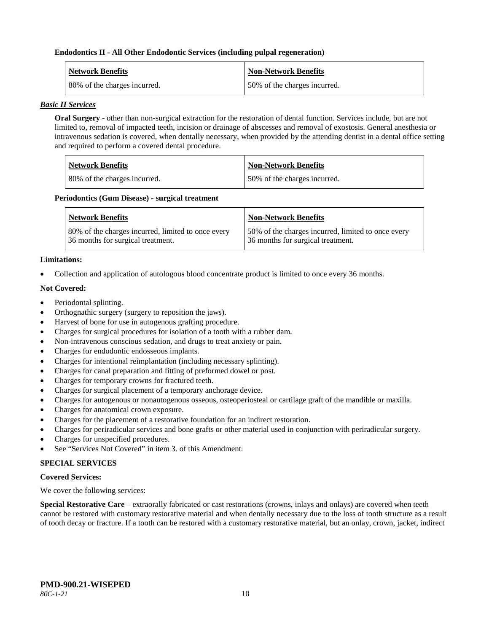#### **Endodontics II - All Other Endodontic Services (including pulpal regeneration)**

| <b>Network Benefits</b>      | <b>Non-Network Benefits</b>  |
|------------------------------|------------------------------|
| 80% of the charges incurred. | 50% of the charges incurred. |

#### *Basic II Services*

**Oral Surgery** - other than non-surgical extraction for the restoration of dental function. Services include, but are not limited to, removal of impacted teeth, incision or drainage of abscesses and removal of exostosis. General anesthesia or intravenous sedation is covered, when dentally necessary, when provided by the attending dentist in a dental office setting and required to perform a covered dental procedure.

| <b>Network Benefits</b>      | <b>Non-Network Benefits</b>  |
|------------------------------|------------------------------|
| 80% of the charges incurred. | 50% of the charges incurred. |

#### **Periodontics (Gum Disease) - surgical treatment**

| <b>Network Benefits</b>                            | <b>Non-Network Benefits</b>                        |
|----------------------------------------------------|----------------------------------------------------|
| 80% of the charges incurred, limited to once every | 50% of the charges incurred, limited to once every |
| 36 months for surgical treatment.                  | 36 months for surgical treatment.                  |

# **Limitations:**

• Collection and application of autologous blood concentrate product is limited to once every 36 months.

# **Not Covered:**

- Periodontal splinting.
- Orthognathic surgery (surgery to reposition the jaws).
- Harvest of bone for use in autogenous grafting procedure.
- Charges for surgical procedures for isolation of a tooth with a rubber dam.
- Non-intravenous conscious sedation, and drugs to treat anxiety or pain.
- Charges for endodontic endosseous implants.
- Charges for intentional reimplantation (including necessary splinting).
- Charges for canal preparation and fitting of preformed dowel or post.
- Charges for temporary crowns for fractured teeth.
- Charges for surgical placement of a temporary anchorage device.
- Charges for autogenous or nonautogenous osseous, osteoperiosteal or cartilage graft of the mandible or maxilla.
- Charges for anatomical crown exposure.
- Charges for the placement of a restorative foundation for an indirect restoration.
- Charges for periradicular services and bone grafts or other material used in conjunction with periradicular surgery.
- Charges for unspecified procedures.
- See "Services Not Covered" in item 3. of this Amendment.

# **SPECIAL SERVICES**

#### **Covered Services:**

We cover the following services:

**Special Restorative Care** – extraorally fabricated or cast restorations (crowns, inlays and onlays) are covered when teeth cannot be restored with customary restorative material and when dentally necessary due to the loss of tooth structure as a result of tooth decay or fracture. If a tooth can be restored with a customary restorative material, but an onlay, crown, jacket, indirect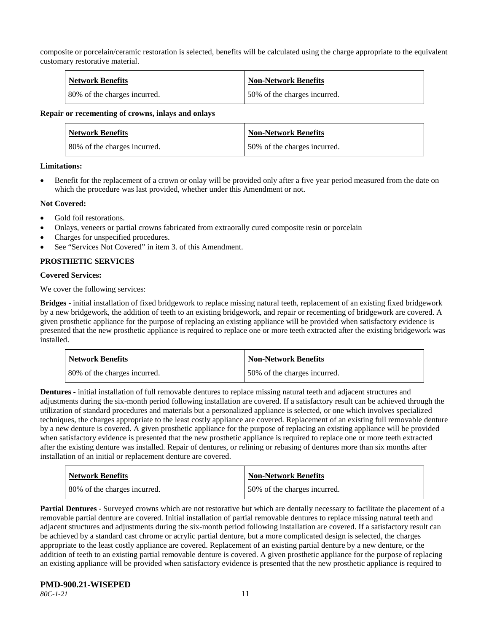composite or porcelain/ceramic restoration is selected, benefits will be calculated using the charge appropriate to the equivalent customary restorative material.

| <b>Network Benefits</b>      | <b>Non-Network Benefits</b>  |
|------------------------------|------------------------------|
| 80% of the charges incurred. | 50% of the charges incurred. |

#### **Repair or recementing of crowns, inlays and onlays**

| <b>Network Benefits</b>      | <b>Non-Network Benefits</b>  |
|------------------------------|------------------------------|
| 80% of the charges incurred. | 50% of the charges incurred. |

#### **Limitations:**

• Benefit for the replacement of a crown or onlay will be provided only after a five year period measured from the date on which the procedure was last provided, whether under this Amendment or not.

#### **Not Covered:**

- Gold foil restorations.
- Onlays, veneers or partial crowns fabricated from extraorally cured composite resin or porcelain
- Charges for unspecified procedures.
- See "Services Not Covered" in item 3, of this Amendment.

# **PROSTHETIC SERVICES**

#### **Covered Services:**

We cover the following services:

**Bridges** - initial installation of fixed bridgework to replace missing natural teeth, replacement of an existing fixed bridgework by a new bridgework, the addition of teeth to an existing bridgework, and repair or recementing of bridgework are covered. A given prosthetic appliance for the purpose of replacing an existing appliance will be provided when satisfactory evidence is presented that the new prosthetic appliance is required to replace one or more teeth extracted after the existing bridgework was installed.

| <b>Network Benefits</b>      | <b>Non-Network Benefits</b>  |
|------------------------------|------------------------------|
| 80% of the charges incurred. | 50% of the charges incurred. |

**Dentures -** initial installation of full removable dentures to replace missing natural teeth and adjacent structures and adjustments during the six-month period following installation are covered. If a satisfactory result can be achieved through the utilization of standard procedures and materials but a personalized appliance is selected, or one which involves specialized techniques, the charges appropriate to the least costly appliance are covered. Replacement of an existing full removable denture by a new denture is covered. A given prosthetic appliance for the purpose of replacing an existing appliance will be provided when satisfactory evidence is presented that the new prosthetic appliance is required to replace one or more teeth extracted after the existing denture was installed. Repair of dentures, or relining or rebasing of dentures more than six months after installation of an initial or replacement denture are covered.

| <b>Network Benefits</b>      | <b>Non-Network Benefits</b>  |
|------------------------------|------------------------------|
| 80% of the charges incurred. | 50% of the charges incurred. |

**Partial Dentures** - Surveyed crowns which are not restorative but which are dentally necessary to facilitate the placement of a removable partial denture are covered. Initial installation of partial removable dentures to replace missing natural teeth and adjacent structures and adjustments during the six-month period following installation are covered. If a satisfactory result can be achieved by a standard cast chrome or acrylic partial denture, but a more complicated design is selected, the charges appropriate to the least costly appliance are covered. Replacement of an existing partial denture by a new denture, or the addition of teeth to an existing partial removable denture is covered. A given prosthetic appliance for the purpose of replacing an existing appliance will be provided when satisfactory evidence is presented that the new prosthetic appliance is required to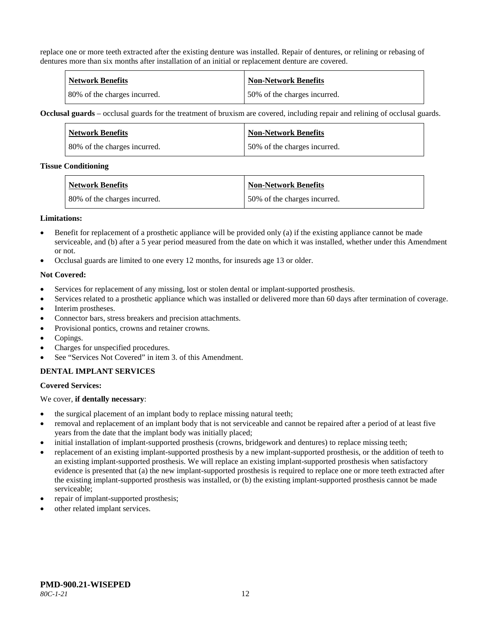replace one or more teeth extracted after the existing denture was installed. Repair of dentures, or relining or rebasing of dentures more than six months after installation of an initial or replacement denture are covered.

| <b>Network Benefits</b>      | Non-Network Benefits         |
|------------------------------|------------------------------|
| 80% of the charges incurred. | 50% of the charges incurred. |

**Occlusal guards** – occlusal guards for the treatment of bruxism are covered, including repair and relining of occlusal guards.

| <b>Network Benefits</b>      | <b>Non-Network Benefits</b>  |
|------------------------------|------------------------------|
| 80% of the charges incurred. | 50% of the charges incurred. |

#### **Tissue Conditioning**

| <b>Network Benefits</b>      | <b>Non-Network Benefits</b>  |
|------------------------------|------------------------------|
| 80% of the charges incurred. | 50% of the charges incurred. |

#### **Limitations:**

- Benefit for replacement of a prosthetic appliance will be provided only (a) if the existing appliance cannot be made serviceable, and (b) after a 5 year period measured from the date on which it was installed, whether under this Amendment or not.
- Occlusal guards are limited to one every 12 months, for insureds age 13 or older.

#### **Not Covered:**

- Services for replacement of any missing, lost or stolen dental or implant-supported prosthesis.
- Services related to a prosthetic appliance which was installed or delivered more than 60 days after termination of coverage.
- Interim prostheses.
- Connector bars, stress breakers and precision attachments.
- Provisional pontics, crowns and retainer crowns.
- Copings.
- Charges for unspecified procedures.
- See "Services Not Covered" in item 3. of this Amendment.

#### **DENTAL IMPLANT SERVICES**

#### **Covered Services:**

We cover, **if dentally necessary**:

- the surgical placement of an implant body to replace missing natural teeth;
- removal and replacement of an implant body that is not serviceable and cannot be repaired after a period of at least five years from the date that the implant body was initially placed;
- initial installation of implant-supported prosthesis (crowns, bridgework and dentures) to replace missing teeth;
- replacement of an existing implant-supported prosthesis by a new implant-supported prosthesis, or the addition of teeth to an existing implant-supported prosthesis. We will replace an existing implant-supported prosthesis when satisfactory evidence is presented that (a) the new implant-supported prosthesis is required to replace one or more teeth extracted after the existing implant-supported prosthesis was installed, or (b) the existing implant-supported prosthesis cannot be made serviceable;
- repair of implant-supported prosthesis;
- other related implant services.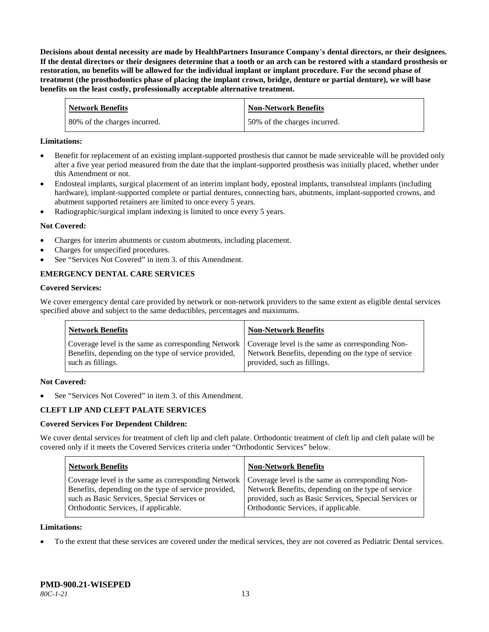**Decisions about dental necessity are made by HealthPartners Insurance Company**'**s dental directors, or their designees. If the dental directors or their designees determine that a tooth or an arch can be restored with a standard prosthesis or restoration, no benefits will be allowed for the individual implant or implant procedure. For the second phase of treatment (the prosthodontics phase of placing the implant crown, bridge, denture or partial denture), we will base benefits on the least costly, professionally acceptable alternative treatment.**

| <b>Network Benefits</b>      | <b>Non-Network Benefits</b>  |
|------------------------------|------------------------------|
| 80% of the charges incurred. | 50% of the charges incurred. |

#### **Limitations:**

- Benefit for replacement of an existing implant-supported prosthesis that cannot be made serviceable will be provided only after a five year period measured from the date that the implant-supported prosthesis was initially placed, whether under this Amendment or not.
- Endosteal implants, surgical placement of an interim implant body, eposteal implants, transolsteal implants (including hardware), implant-supported complete or partial dentures, connecting bars, abutments, implant-supported crowns, and abutment supported retainers are limited to once every 5 years.
- Radiographic/surgical implant indexing is limited to once every 5 years.

# **Not Covered:**

- Charges for interim abutments or custom abutments, including placement.
- Charges for unspecified procedures.
- See "Services Not Covered" in item 3. of this Amendment.

# **EMERGENCY DENTAL CARE SERVICES**

#### **Covered Services:**

We cover emergency dental care provided by network or non-network providers to the same extent as eligible dental services specified above and subject to the same deductibles, percentages and maximums.

| <b>Network Benefits</b>                                                                                                                                                             | <b>Non-Network Benefits</b>                                                       |
|-------------------------------------------------------------------------------------------------------------------------------------------------------------------------------------|-----------------------------------------------------------------------------------|
| Coverage level is the same as corresponding Network   Coverage level is the same as corresponding Non-<br>Benefits, depending on the type of service provided,<br>such as fillings. | Network Benefits, depending on the type of service<br>provided, such as fillings. |

#### **Not Covered:**

See "Services Not Covered" in item 3. of this Amendment.

# **CLEFT LIP AND CLEFT PALATE SERVICES**

#### **Covered Services For Dependent Children:**

We cover dental services for treatment of cleft lip and cleft palate. Orthodontic treatment of cleft lip and cleft palate will be covered only if it meets the Covered Services criteria under "Orthodontic Services" below.

| <b>Network Benefits</b>                                                                                                                                                                                                                               | <b>Non-Network Benefits</b>                                                                                                                         |
|-------------------------------------------------------------------------------------------------------------------------------------------------------------------------------------------------------------------------------------------------------|-----------------------------------------------------------------------------------------------------------------------------------------------------|
| Coverage level is the same as corresponding Network   Coverage level is the same as corresponding Non-<br>Benefits, depending on the type of service provided,<br>such as Basic Services, Special Services or<br>Orthodontic Services, if applicable. | Network Benefits, depending on the type of service<br>provided, such as Basic Services, Special Services or<br>Orthodontic Services, if applicable. |

#### **Limitations:**

• To the extent that these services are covered under the medical services, they are not covered as Pediatric Dental services.